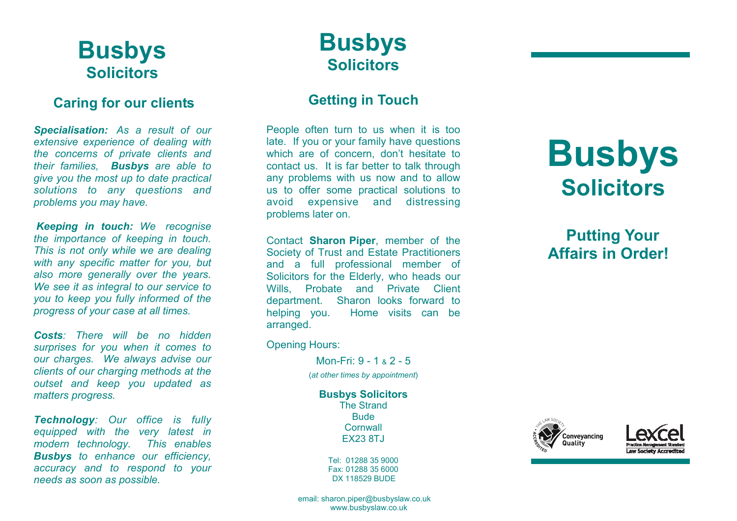# **Busbys Solicitors**

### **Caring for our clients**

*Specialisation: As a result of our extensive experience of dealing with the concerns of private clients and their families, Busbys are able to give you the most up to date practical solutions to any questions and problems you may have.* 

*Keeping in touch: We recognise the importance of keeping in touch. This is not only while we are dealing with any specific matter for you, but also more generally over the years. We see it as integral to our service to you to keep you fully informed of the progress of your case at all times.* 

*Costs: There will be no hidden surprises for you when it comes to our charges. We always advise our clients of our charging methods at the outset and keep you updated as matters progress.* 

*Technology: Our office is fully equipped with the very latest in modern technology. This enables Busbys to enhance our efficiency, accuracy and to respond to your needs as soon as possible.*

# **Busbys Solicitors**

## **Getting in Touch**

People often turn to us when it is too late. If you or your family have questions which are of concern, don't hesitate to contact us. It is far better to talk through any problems with us now and to allow us to offer some practical solutions to and distressing avoid expensive problems later on.

Contact **Sharon Piper**, member of the Society of Trust and Estate Practitioners and a full professional member of Solicitors for the Elderly, who heads our Wills, Probate and Private Client department. Sharon looks forward to helping you. Home visits can be arranged.

Opening Hours:

Mon-Fri: 9 - 1 & 2 - 5(*at other times by appointment*)

**Busbys Solicitors** The Strand **Bude Cornwall** EX23 8TJ

> Tel: 01288 35 9000 Fax: 01288 35 6000 DX 118529 BUDE

#### email: sharon.piper@busbyslaw.co.uk www.busbyslaw.co.uk

# **Busbys Solicitors**

 **Putting Your Affairs in Order!**